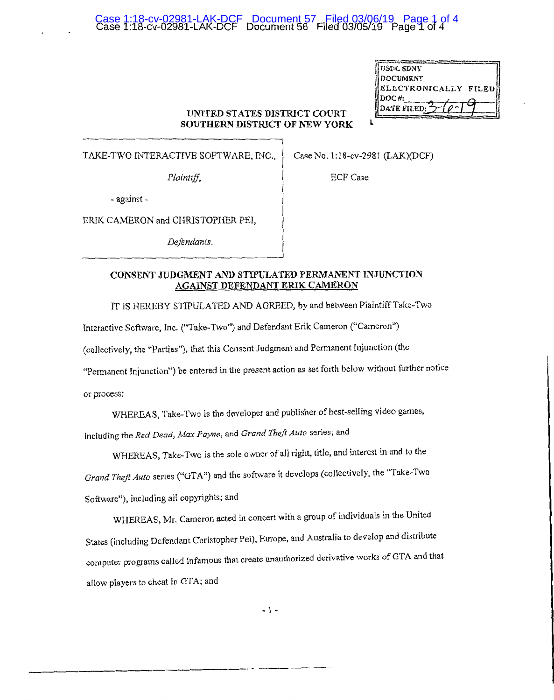# Case 1:18-cv-02981-LAK-DCF Document 56 Filed 03/05/19 Page 1 of 4 Case 1:18-cv-02981-LAK-DCF Document 57 Filed 03/06/19 Page 1 of 4

| USI\C SDNY           |  |
|----------------------|--|
| <b>DOCUMENT</b>      |  |
| ELECTRONICALLY FILED |  |
| $DOC$ #:             |  |
| DATE FILED:          |  |
|                      |  |

#### **UNITED STATES DISTRICT COURT SOUTHERN DISTRICT OF NEW YORK** I.

TAKE-TWO INTERACTIVE SOFTWARE, INC.,

Case No. 1:18-cv-2981 (LAK)(DCF)

*Plaintiff,* 

ECF Case

- against -

ERIK CAMERON and CHRISTOPHER PEI,

*Defendants.* 

### **CONSENT JUDGMENT AND STIPULATED PERMANENT INJUNCTION AGAINST DEFENDANT ERIK CAMERON**

TT IS HEREBY STIPULATED AND AGREED, by and between Plaintiff Take-Two

Interactive Software, Inc. ("Take-Two") and Defendant Erik Cameron ("Cameron")

(collectively, the "Parties"), that this Consent Judgment and Permanent Injunction (the

"Permanent Injunction") be entered in the present action as set forth below without further notice

or process:

WHEREAS, Take-Two is the developer and publisher of best-selling video games, including the *Red Dead, Max Payne,* and *Grand Theft Auto* series; and

WHEREAS, Take-Two is the sole owner of all right, title, and interest in and to the *Grand Theft Auto* series ("GTA") and the software it develops (collectively, the "Take-Two Software"), including all copyrights; and

WHEREAS, Mr. Cameron acted in concert with a group of individuals in the United States (including Defendant Christopher Pei), Europe, and Australia to develop and distribute computer programs called Infamous that create unauthorized derivative works ofGTA and that allow players to cheat in GTA; and

- 1 -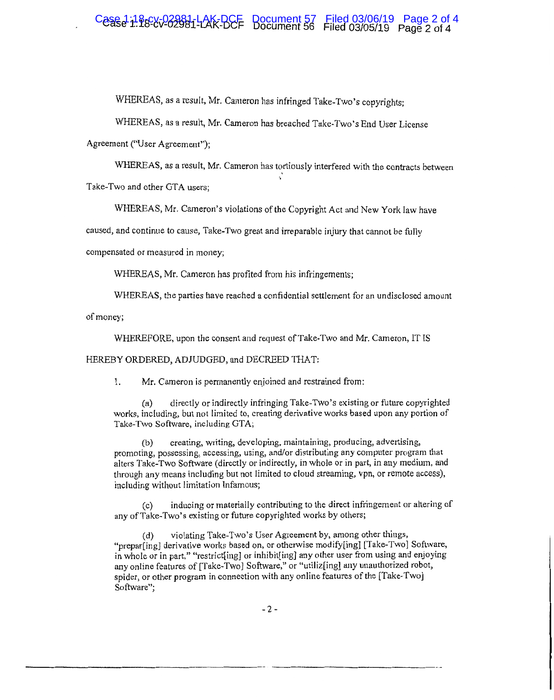## Case 1. 1886 2008 1-0 K DCF Document 57 Filed 03/06/19 Page 2 of 4

WHEREAS, as a result, Mr. Cameron has infringed Take-Two's copyrights;

WHEREAS, as a result, Mr. Cameron has breached Take-Two's End User License

Agreement ("User Agreement");

WHEREAS, as a result, Mr. Cameron has tortiously interfered with the contracts between Take-Two and other GTA users;

WHEREAS, Mr. Cameron's violations of the Copyright Act and New York law have

caused, and continue to cause, Take-Two great and irreparable injury that cannot be fully

compensated or measured in money;

WHEREAS, Mr. Cameron has profited from his infringements;

WHEREAS, the parties have reached a confidential settlement for an undisclosed amount

of money;

WHEREFORE, upon the consent and request of Take-Two and **Mr.** Cameron, IT IS

#### HEREBY ORDERED, ADJUDGED, and DECREED THAT:

1. Mr. Cameron is permanently enjoined and restrained from:

(a) directly or indirectly infringing Take-Two's existing or future copyrighted works, including, but not limited to, creating derivative works based upon any portion of Take-Two Software, including GTA;

(b) creating, writing, developing, maintaining, producing, advertising, promoting, possessing, accessing, using, and/or distributing any computer program that alters Take-Two Software (directly or indirectly, in whole or in part, in any medium, and through any means including but not limited to cloud streaming, vpn, or remote access), including without limitation Infamous;

(c) inducing or materially contributing to the direct infringement or altering of any of Take-Two's existing or future copyrighted works by others;

(d) violating Take-Two's User Agreement by, among other things, "prepar[ing] derivative works based on, or otherwise modify[ing] [Take-Two] Software, in whole or in part," "restrict[ing] or inhibit[ing] any other user from using and enjoying any online features of [Take-Two] Software," or "utiliz[ing] any unauthorized robot, spider, or other program in connection with any online features of the [Take-Two] Software";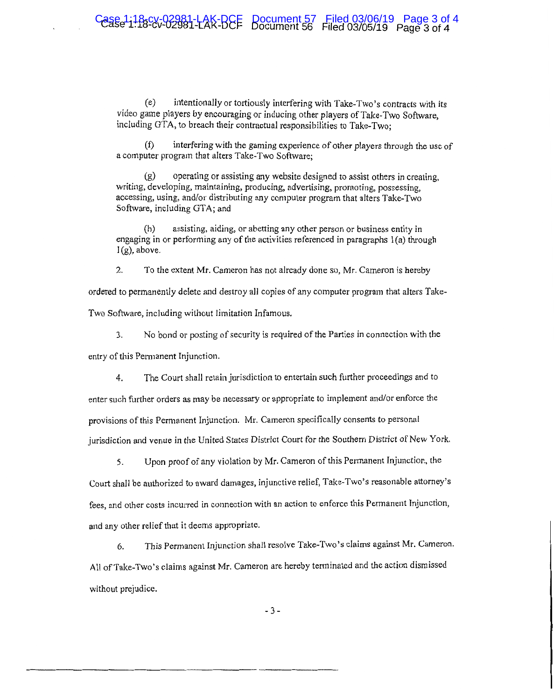$(e)$  intentionally or tortiously interfering with Take-Two's contracts with its video game players by encouraging or inducing other players of Take-Two Software, including GTA, to breach their contractual responsibilities to Take-Two;

interfering with the gaming experience of other players through the use of a computer program that alters Take-Two Software:

(g) operating or assisting any website designed to assist others in creating, writing, developing, maintaining, producing, advertising, promoting, possessing, accessing, using, and/or distributing any computer program that alters Take-Two Software, including GTA; and

(h) assisting, aiding, or abetting any other person or business entity in engaging in or performing any of the activities referenced in paragraphs 1 (a) through  $l(g)$ , above.

2. To the extent Mr. Cameron has not already done so, Mr. Cameron is hereby

ordered to permanently delete and destroy all copies of any computer program that alters Take-Two Software, including without limitation Infamous.

3. No bond or posting of security is required of the Parties in connection with the

entry of this Pemianent Injunction.

4. The Court shall retain jurisdiction to entertain such further proceedings and to

enter such further orders as may be necessary or appropriate to implement and/or enforce the provisions of this Permanent Injunction. Mr. Cameron specifically consents to personal jurisdiction and venue in the United States District Court for the Southern District of New York.

5. Upon proof of any violation by Mr. Cameron of this Permanent Injunction, the

Court shall be authorized to award damages, injunctive relief, Take-Two's reasonable attorney's fees, and other costs incurred in connection with an action to enforce this Permanent Injunction, and any other relief that it deems appropriate.

6. This Permanent Injunction shall resolve Take-Two's claims against Mr. Cameron. All of Take-Two's claims against Mr. Cameron are hereby terminated and the action dismissed without prejudice.

- 3 -